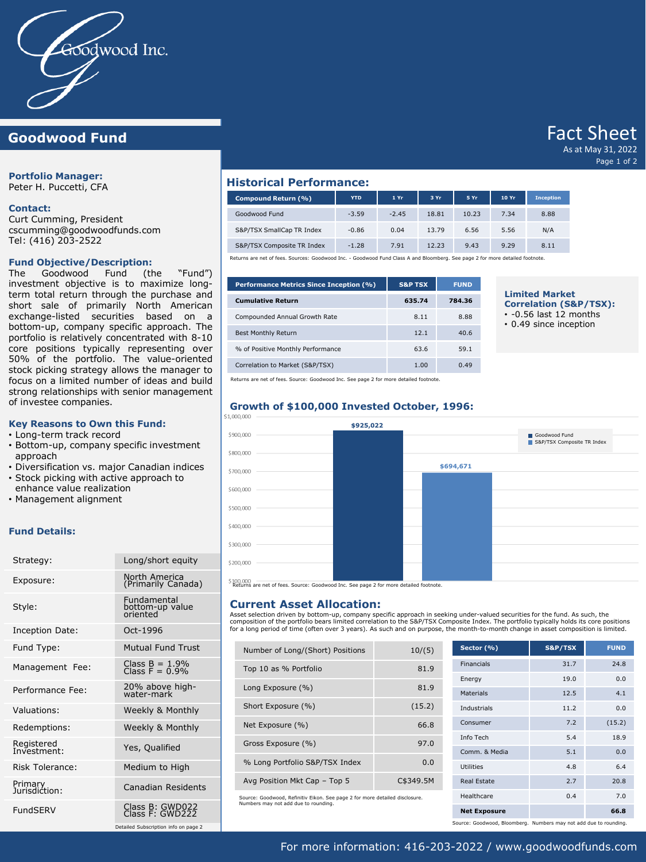

# **Goodwood Fund**

**Portfolio Manager:**

Peter H. Puccetti, CFA

### **Contact:**

Curt Cumming, President cscumming@goodwoodfunds.com Tel: (416) 203-2522

### **Fund Objective/Description:**

The Goodwood Fund (the "Fund") investment objective is to maximize longterm total return through the purchase and short sale of primarily North American exchange-listed securities based on a bottom-up, company specific approach. The portfolio is relatively concentrated with 8-10 core positions typically representing over 50% of the portfolio. The value-oriented stock picking strategy allows the manager to focus on a limited number of ideas and build strong relationships with senior management of investee companies.

### **Key Reasons to Own this Fund:**

- Long-term track record
- Bottom-up, company specific investment approach
- Diversification vs. major Canadian indices
- Stock picking with active approach to
- enhance value realization
- Management alignment

### **Fund Details:**

| Strategy:                 | Long/short equity                          |
|---------------------------|--------------------------------------------|
| Exposure:                 | North America<br>(Primarily Canada)        |
| Style:                    | Fundamental<br>bottom-up value<br>oriented |
| Inception Date:           | Oct-1996                                   |
| Fund Type:                | Mutual Fund Trust                          |
| Management Fee:           | Class $B = 1.9%$<br>Class $F = 0.9%$       |
| Performance Fee:          | 20% above high-<br>water-mark              |
| Valuations:               | Weekly & Monthly                           |
| Redemptions:              | Weekly & Monthly                           |
| Registered<br>Investment: | Yes, Qualified                             |
| Risk Tolerance:           | Medium to High                             |
| Primary<br>Jurisdiction:  | Canadian Residents                         |
| <b>FundSFRV</b>           | Class B: GWD022<br>Class F: GWD222         |

Detailed Subscription info on page 2

## **Historical Performance:**

| Compound Return (%)        | <b>YTD</b> | 1 Yr    | 3 Yr  | 5 Yr  | 10 Yr | <b>Inception</b> |  |  |  |
|----------------------------|------------|---------|-------|-------|-------|------------------|--|--|--|
| Goodwood Fund              | $-3.59$    | $-2.45$ | 18.81 | 10.23 | 7.34  | 8.88             |  |  |  |
| S&P/TSX SmallCap TR Index  | $-0.86$    | 0.04    | 13.79 | 6.56  | 5.56  | N/A              |  |  |  |
| S&P/TSX Composite TR Index | $-1.28$    | 7.91    | 12.23 | 9.43  | 9.29  | 8.11             |  |  |  |

Returns are net of fees. Sources: Goodwood Inc. - Goodwood Fund Class A and Bloomberg. See page 2 for more detailed footnote.

| <b>Performance Metrics Since Inception (%)</b> | <b>S&amp;P TSX</b> | <b>FUND</b> |
|------------------------------------------------|--------------------|-------------|
| <b>Cumulative Return</b>                       | 635.74             | 784.36      |
| Compounded Annual Growth Rate                  | 8.11               | 8.88        |
| <b>Best Monthly Return</b>                     | 12.1               | 40.6        |
| % of Positive Monthly Performance              | 63.6               | 59.1        |
| Correlation to Market (S&P/TSX)                | 1.00               | 0.49        |

# **Limited Market**

**Correlation (S&P/TSX):**

Fact Sheet As at May 31, 2022

Page 1 of 2

- 
- $\cdot$  -0.56 last 12 months
- 0.49 since inception

Returns are net of fees. Source: Goodwood Inc. See page 2 for more detailed footnote.

# **Growth of \$100,000 Invested October, 1996:**



Returns are net of fees. Source: Goodwood Inc. See page 2 for more detailed footnote.

## **Current Asset Allocation:**

Asset selection driven by bottom-up, company specific approach in seeking under-valued securities for the fund. As such, the composition of the portfolio bears limited correlation to the S&P/TSX Composite Index. The portfolio typically holds its core positions for a long period of time (often over 3 years). As such and on purpose, the month-to-month change in asset composition is limited.

| Number of Long/(Short) Positions | 10/(5)    |
|----------------------------------|-----------|
| Top 10 as % Portfolio            | 81.9      |
| Long Exposure (%)                | 81.9      |
| Short Exposure (%)               | (15.2)    |
| Net Exposure (%)                 | 66.8      |
| Gross Exposure (%)               | 97.0      |
| % Long Portfolio S&P/TSX Index   | 0.0       |
| Avg Position Mkt Cap - Top 5     | C\$349.5M |
|                                  |           |

Source: Goodwood, Refinitiv Eikon. See page 2 for more detailed disclosure. Numbers may not add due to rounding.

| Sector (%)          | S&P/TSX | <b>FUND</b> |
|---------------------|---------|-------------|
| <b>Financials</b>   | 31.7    | 24.8        |
| Energy              | 19.0    | 0.0         |
| <b>Materials</b>    | 12.5    | 4.1         |
| <b>Industrials</b>  | 11.2    | 0.0         |
| Consumer            | 7.2     | (15.2)      |
| Info Tech           | 5.4     | 18.9        |
| Comm. & Media       | 5.1     | 0.0         |
| Utilities           | 4.8     | 6.4         |
| <b>Real Estate</b>  | 2.7     | 20.8        |
| Healthcare          | 0.4     | 7.0         |
| <b>Net Exposure</b> |         | 66.8        |

Source: Goodwood, Bloomberg. Numbers may not add due to rounding.